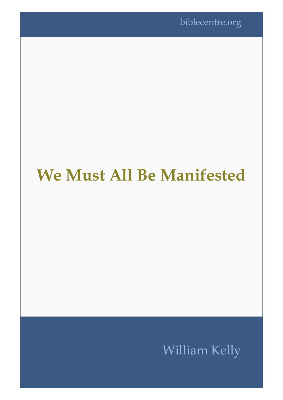# **We Must All Be Manifested**

# William Kelly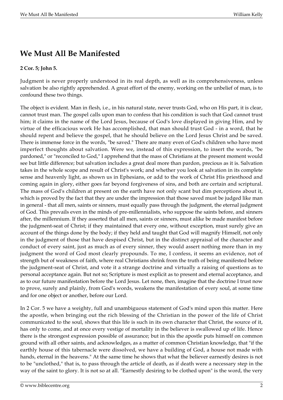## **We Must All Be Manifested**

#### **2 Cor. 5; John 5.**

Judgment is never properly understood in its real depth, as well as its comprehensiveness, unless salvation be also rightly apprehended. A great effort of the enemy, working on the unbelief of man, is to confound these two things.

The object is evident. Man in flesh, i.e., in his natural state, never trusts God, who on His part, it is clear, cannot trust man. The gospel calls upon man to confess that his condition is such that God cannot trust him; it claims in the name of the Lord Jesus, because of God's love displayed in giving Him, and by virtue of the efficacious work He has accomplished, that man should trust God - in a word, that he should repent and believe the gospel, that he should believe on the Lord Jesus Christ and be saved. There is immense force in the words, "be saved." There are many even of God's children who have most imperfect thoughts about salvation. Were we, instead of this expression, to insert the words, "be pardoned," or "reconciled to God," I apprehend that the mass of Christians at the present moment would see but little difference; but salvation includes a great deal more than pardon, precious as it is. Salvation takes in the whole scope and result of Christ's work; and whether you look at salvation in its complete sense and heavenly light, as shown us in Ephesians, or add to the work of Christ His priesthood and coming again in glory, either goes far beyond forgiveness of sins, and both are certain and scriptural. The mass of God's children at present on the earth have not only scant but dim perceptions about it, which is proved by the fact that they are under the impression that those saved must be judged like man in general - that all men, saints or sinners, must equally pass through the judgment, the eternal judgment of God. This prevails even in the minds of pre-millennialists, who suppose the saints before, and sinners after, the millennium. If they asserted that all men, saints or sinners, must alike be made manifest before the judgment-seat of Christ; if they maintained that every one, without exception, must surely give an account of the things done by the body; if they held and taught that God will magnify Himself, not only in the judgment of those that have despised Christ, but in the distinct appraisal of the character and conduct of every saint, just as much as of every sinner, they would assert nothing more than in my judgment the word of God most clearly propounds. To me, I confess, it seems an evidence, not of strength but of weakness of faith, where real Christians shrink from the truth of being manifested before the judgment-seat of Christ, and vote it a strange doctrine and virtually a raising of questions as to personal acceptance again. But not so; Scripture is most explicit as to present and eternal acceptance, and as to our future manifestation before the Lord Jesus. Let none, then, imagine that the doctrine I trust now to prove, surely and plainly, from God's words, weakens the manifestation of every soul, at some time and for one object or another, before our Lord.

In 2 Cor. 5 we have a weighty, full and unambiguous statement of God's mind upon this matter. Here the apostle, when bringing out the rich blessing of the Christian in the power of the life of Christ communicated to the soul, shows that this life is such in its own character that Christ, the source of it, has only to come, and at once every vestige of mortality in the believer is swallowed up of life. Hence there is the strongest expression possible of assurance; but in this the apostle puts himself on common ground with all other saints, and acknowledges, as a matter of common Christian knowledge, that "if the earthly house of this tabernacle were dissolved, we have a building of God, a house not made with hands, eternal in the heavens." At the same time he shows that what the believer earnestly desires is not to be "unclothed," that is, to pass through the article of death, as if death were a necessary step in the way of the saint to glory. It is not so at all. "Earnestly desiring to be clothed upon" is the word, the very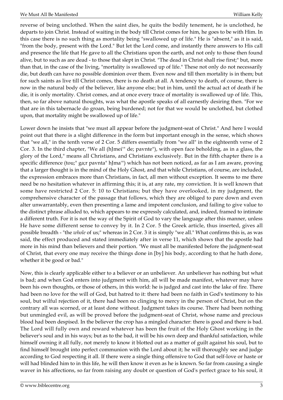reverse of being unclothed. When the saint dies, he quits the bodily tenement, he is unclothed, he departs to join Christ. Instead of waiting in the body till Christ comes for him, he goes to be with Him. In this case there is no such thing as mortality being "swallowed up of life." He is "absent," as it is said, "from the body, present with the Lord." But let the Lord come, and instantly there answers to His call and presence the life that He gave to all the Christians upon the earth, and not only to those then found alive, but to such as are dead - to those that slept in Christ. "The dead in Christ shall rise first;" but, more than that, in the case of the living, "mortality is swallowed up of life." These not only do not necessarily die, but death can have no possible dominion over them. Even now and till then mortality is in them; but for such saints as live till Christ comes, there is no death at all. A tendency to death, of course, there is now in the natural body of the believer, like anyone else; but in him, until the actual act of death if he die, it is only mortality. Christ comes, and at once every trace of mortality is swallowed up of life. This, then, so far above natural thoughts, was what the apostle speaks of all earnestly desiring then. "For we that are in this tabernacle do groan, being burdened; not for that we would be unclothed, but clothed upon, that mortality might be swallowed up of life."

Lower down he insists that "we must all appear before the judgment-seat of Christ." And here I would point out that there is a slight difference in the form but important enough in the sense, which shows that "we all," in the tenth verse of 2 Cor. 5 differs essentially from "we all" in the eighteenth verse of 2 Cor. 3. In the third chapter, "We all (hJmei'" de; pavnte"), with open face beholding, as in a glass, the glory of the Lord," means all Christians, and Christians exclusively. But in the fifth chapter there is a specific difference (tou;" ga;r pavnta" hJma'") which has not been noticed, as far as I am aware, proving that a larger thought is in the mind of the Holy Ghost, and that while Christians, of course, are included, the expression embraces more than Christians, in fact, all men without exception. It seems to me there need be no hesitation whatever in affirming this; it is, at any rate, my conviction. It is well known that some have restricted 2 Cor. 5: 10 to Christians; but they have overlooked, in my judgment, the comprehensive character of the passage that follows, which they are obliged to pare down and even alter unwarrantably, even then presenting a lame and impotent conclusion, and failing to give value to the distinct phrase alluded to, which appears to me expressly calculated, and, indeed, framed to intimate a different truth. For it is not the way of the Spirit of God to vary the language after this manner, unless He have some different sense to convey by it. In 2 Cor. 5 the Greek article, thus inserted, gives all possible breadth - "the *whole* of us;" whereas in 2 Cor. 3 it is simply "we all." What confirms this is, as was said, the effect produced and stated immediately after in verse 11, which shows that the apostle had more in his mind than believers and their portion. "We must all be manifested before the judgment-seat of Christ, that every one may receive the things done in [by] his body, according to that he hath done, whether it be good or bad."

Now, this is clearly applicable either to a believer or an unbeliever. An unbeliever has nothing but what is bad; and when God enters into judgment with him, all will be made manifest, whatever may have been his own thoughts, or those of others, in this world: he is judged and cast into the lake of fire. There had been no love for the will of God, but hatred to it: there had been no faith in God's testimony to his soul, but wilful rejection of it, there had been no clinging to mercy in the person of Christ, but on the contrary all was scorned, or at least done without. Judgment takes its course. There had been nothing but unmingled evil, as will be proved before the judgment-seat of Christ, whose name and precious blood had been despised. In the believer the crop has a mingled character: there is good and there is bad. The Lord will fully own and reward whatever has been the fruit of the Holy Ghost working in the believer's soul and in his ways; but as to the bad, it will be his own deep and thankful satisfaction, while himself owning it all fully, not merely to know it blotted out as a matter of guilt against his soul, but to find himself brought into perfect communion with the Lord about it; he will thoroughly see and judge according to God respecting it all. If there were a single thing offensive to God that self-love or haste or will had blinded him to in this life, he will then know it even as he is known. So far from causing a single waver in his affections, so far from raising any doubt or question of God's perfect grace to his soul, it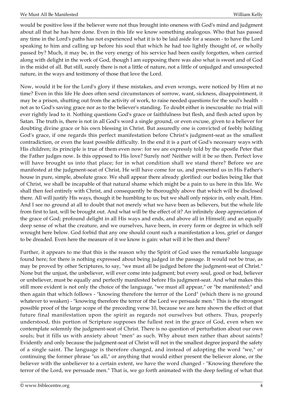would be positive loss if the believer were not thus brought into oneness with God's mind and judgment about all that he has here done. Even in this life we know something analogous. Who that has passed any time in the Lord's paths has not experienced what it is to be laid aside for a season - to have the Lord speaking to him and calling up before his soul that which he had too lightly thought of, or wholly passed by? Much, it may be, in the very energy of his service had been easily forgotten, when carried along with delight in the work of God, though I am supposing there was also what is sweet and of God in the midst of all. But still, surely there is not a little of nature, not a little of unjudged and unsuspected nature, in the ways and testimony of those that love the Lord.

Now, would it be for the Lord's glory if these mistakes, and even wrongs, were noticed by Him at no time? Even in this life He does often send circumstances of sorrow, want, sickness, disappointment, it may be a prison, shutting out from the activity of work, to raise needed questions for the soul's health not as to God's saving grace nor as to the believer's standing. To doubt either is inexcusable: no trial will ever rightly lead to it. Nothing questions God's grace or faithfulness but flesh, and flesh acted upon by Satan. The truth is, there is not in all God's word a single ground, or even excuse, given to a believer for doubting divine grace or his own blessing in Christ. But assuredly one is convicted of feebly holding God's grace, if one regards this perfect manifestation before Christ's judgment-seat as the smallest contradiction, or even the least possible difficulty. In the end it is a part of God's necessary ways with His children; its principle is true of them even now: for we are expressly told by the apostle Peter that the Father judges now. Is this opposed to His love? Surely not! Neither will it be so then. Perfect love will have brought us into that place; for in what condition shall we stand there? Before we are manifested at the judgment-seat of Christ, He will have come for us, and presented us in His Father's house in pure, simple, absolute grace. We shall appear there already glorified: our bodies being like that of Christ, we shall be incapable of that natural shame which might be a pain to us here in this life. We shall then feel entirely with Christ, and consequently be thoroughly above that which will be disclosed there. All will justify His ways, though it be humbling to us; but we shall only rejoice in, only exalt, Him. And I see no ground at all to doubt that not merely what we have been as believers, but the whole life from first to last, will be brought out. And what will be the effect of it? An infinitely deep appreciation of the grace of God; profound delight in all His ways and ends, and above all in Himself; and an equally deep sense of what the creature, and we ourselves, have been, in every form or degree in which self wrought here below. God forbid that any one should count such a manifestation a loss, grief or danger to be dreaded. Even here the measure of it we know is gain: what will it be then and there?

Further, it appears to me that this is the reason why the Spirit of God uses the remarkable language found here; for there is nothing expressed about being judged in the passage. It would not be true, as may be proved by other Scriptures, to say, "we must all be judged before the judgment-seat of Christ." None but the unjust, the unbeliever, will ever come into judgment; but every soul, good or bad, believer or unbeliever, must be equally and perfectly manifested before His judgment-seat. And what makes this still more evident is not only the choice of the language, "we must all appear," or "be manifested;" and then again that which follows - "knowing therefore the terror of the Lord" (which there is no ground whatever to weaken) - "knowing therefore the terror of the Lord we persuade men." This is the strongest possible proof of the large scope of the preceding verse 10, because we are here shown the effect of that future final manifestation upon the spirit as regards not ourselves but others. Thus, properly understood, this portion of Scripture supposes the fullest rest in the grace of God, even when we contemplate solemnly the judgment-seat of Christ. There is no question of perturbation about our own souls; but it fills us with anxiety about "men" as such. Why about men rather than about saints? Evidently and only because the judgment-seat of Christ will not in the smallest degree jeopard the safety of a single saint. The language is therefore changed, and instead of adopting the word "we," or continuing the former phrase "us all," or anything that would either present the believer alone, or the believer with the unbeliever to a certain extent, we have the word changed - "Knowing therefore the terror of the Lord, we persuade men." That is, we go forth animated with the deep feeling of what that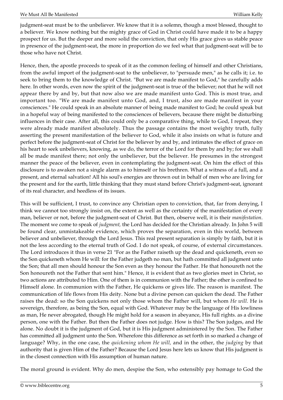judgment-seat must be to the unbeliever. We know that it is a solemn, though a most blessed, thought to a believer. We know nothing but the mighty grace of God in Christ could have made it to be a happy prospect for us. But the deeper and more solid the conviction, that only His grace gives us stable peace in presence of the judgment-seat, the more in proportion do we feel what that judgment-seat will be to those who have not Christ.

Hence, then, the apostle proceeds to speak of it as the common feeling of himself and other Christians, from the awful import of the judgment-seat to the unbeliever, to "persuade men," as he calls it; i.e. to seek to bring them to the knowledge of Christ. "But we are made manifest to God," he carefully adds here. In other words, even now the spirit of the judgment-seat is true of the believer; not that he will not appear there by and by, but that now also we are made manifest unto God. This is most true, and important too. "We are made manifest unto God, and, I trust, also are made manifest in your consciences." He could speak in an absolute manner of being made manifest to God; he could speak but in a hopeful way of being manifested to the consciences of believers, because there might be disturbing influences in their case. After all, this could only be a comparative thing, while to God, I repeat, they were already made manifest absolutely. Thus the passage contains the most weighty truth, fully asserting the present manifestation of the believer to God, while it also insists on what is future and perfect before the judgment-seat of Christ for the believer by and by, and intimates the effect of grace on his heart to seek unbelievers, knowing, as we do, the terror of the Lord for them by and by; for we shall all be made manifest there; not only the unbeliever, but the believer. He presumes in the strongest manner the peace of the believer, even in contemplating the judgment-seat. On him the effect of this disclosure is to awaken not a single alarm as to himself or his brethren. What a witness of a full, and a present, and eternal salvation! All his soul's energies are thrown out in behalf of men who are living for the present and for the earth, little thinking that they must stand before Christ's judgment-seat, ignorant of its real character, and heedless of its issues.

This will be sufficient, I trust, to convince any Christian open to conviction, that, far from denying, I think we cannot too strongly insist on, the extent as well as the certainty of the manifestation of every man, believer or not, before the judgment-seat of Christ. But then, observe well, it is their *manifestation*. The moment we come to speak of *judgment,* the Lord has decided for the Christian already. In John 5 will be found clear, unmistakeable evidence, which proves the separation, even in this world, between believer and unbeliever, through the Lord Jesus. This real present separation is simply by faith, but it is not the less according to the eternal truth of God. I do not speak, of course, of external circumstances. The Lord introduces it thus in verse 21 "For as the Father raiseth up the dead and quickeneth, even so the Son quickeneth whom He will: for the Father judgeth no man, but hath committed all judgment unto the Son; that all men should honour the Son even as they honour the Father. He that honoureth not the Son honoureth not the Father that sent him." Hence, it is evident that as two glories meet in Christ, so two actions are attributed to Him. One of them is in communion with the Father; the other is confined to Himself alone. In communion with the Father, He quickens or gives life. The reason is manifest. The communication of life flows from His deity. None but a divine person can quicken the dead. The Father raises the dead: so the Son quickens not only those whom the Father will, but whom *He will.* He is sovereign, therefore, as being the Son, equal with God. Whatever may be the language of His lowliness as man, He never abrogated, though He might hold for a season in abeyance, His full rights. as a divine person, one with the Father. But then the Father does not judge. How is this? The Son judges, and He alone. No doubt it is the judgment of God, but it is His judgment administered by the Son. The Father has committed all judgment unto the Son. Wherefore this difference as set forth in so marked a change of language? Why, in the one case, the *quickening whom He will,* and in the other, the *judging* by that authority that is given Him of the Father? Because the Lord Jesus here lets us know that His judgment is in the closest connection with His assumption of human nature.

The moral ground is evident. Why do men, despise the Son, who ostensibly pay homage to God the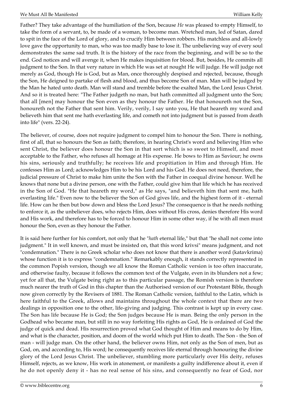Father? They take advantage of the humiliation of the Son, because *He* was pleased to empty Himself, to take the form of a servant, to, be made of a woman, to become man. Wretched man, led of Satan, dared to spit in the face of the Lord of glory, and to crucify Him between robbers. His matchless and all-lowly love gave the opportunity to man, who was too madly base to lose it. The unbelieving way of every soul demonstrates the same sad truth. It is the history of the race from the beginning, and will be so to the end. God notices and will avenge it, when He makes inquisition for blood. But, besides, He commits all judgment to the Son. In that very nature in which He was set at nought He will judge. He will judge not merely as God, though He is God, but as Man, once thoroughly despised and rejected, because, though the Son, He deigned to partake of flesh and blood, and thus become Son of man. Man will be judged by the Man he hated unto death. Man will stand and tremble before the exalted Man, the Lord Jesus Christ. And so it is treated here: "The Father judgeth no man, but hath committed all judgment unto the Son; that all [men] may honour the Son even as they honour the Father. He that honoureth not the Son, honoureth not the Father that sent him. Verily, verily, I say unto you, He that heareth my word and believeth him that sent me hath everlasting life, and cometh not into judgment but is passed from death into life" (vers. 22-24).

The believer, of course, does not require judgment to compel him to honour the Son. There is nothing, first of all, that so honours the Son as faith; therefore, in hearing Christ's word and believing Him who sent Christ, the believer does honour the Son in that sort which is so sweet to Himself, and most acceptable to the Father, who refuses all homage at His expense. He bows to Him as Saviour; he owns his sins, seriously and truthfully; he receives life and propitiation in Him and through Him. He confesses Him as Lord; acknowledges Him to be his Lord and his God. He does not need, therefore, the judicial pressure of Christ to make him unite the Son with the Father in coequal divine honour. Well he knows that none but a divine person, one with the Father, could give him that life which he has received in the Son of God. "He that heareth my word," as He says, "and believeth him that sent me, hath everlasting life." Even now to the believer the Son of God gives life, and the highest form of it - eternal life. How can he then but bow down and bless the Lord Jesus? The consequence is that he needs nothing to enforce it, as the unbeliever does, who rejects Him, does without His cross, denies therefore His word and His work, and therefore has to be forced to honour Him in some other way, if he with all men must honour the Son, even as they honour the Father.

It is said here further for his comfort, not only that he "*hath* eternal life," but that "he shall not come into judgment." It in well known, and must be insisted on, that this word krivsi" means judgment, and not "condemnation." There is no Greek scholar who does not know that there is another word (katavkrima) whose function it is to express "condemnation." Remarkably enough, it stands correctly represented in the common Popish version, though we all know the Roman Catholic version is too often inaccurate, and otherwise faulty, because it follows the common text of the Vulgate, even in its blunders not a few; yet for all that, the Vulgate being right as to this particular passage, the Romish version is therefore much nearer the truth of God in this chapter than the Authorised version of our Protestant Bible, though now given correctly by the Revisers of 1881. The Roman Catholic version, faithful to the Latin, which is here faithful to the Greek, allows and maintains throughout the whole context that there are two dealings in opposition one to the other, life-giving and judging. This contrast is kept up in every case. The Son has life because He is God; the Son judges because He is man. Being the only person in the Godhead who became man, but still in no way forfeiting His rights as God, He is ordained of God the judge of quick and dead. His resurrection proved what God thought of Him and means to do by Him, and what is the character, position, and doom of the world which put Him to death. The Son - the Son of man - will judge man. On the other hand, the believer owns Him, not only as the Son of men, but as God, on, and according to, His word; he consequently receives life eternal through honouring the divine glory of the Lord Jesus Christ. The unbeliever, stumbling more particularly over His deity, refuses Himself, rejects, as we know, His work in atonement, or manifests a guilty indifference about it, even if he do not openly deny it - has no real sense of his sins, and consequently no fear of God, nor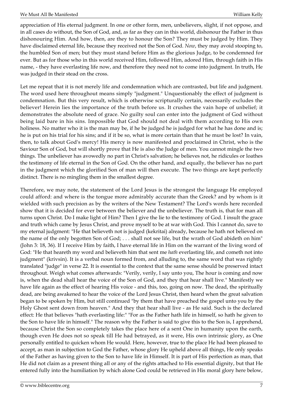appreciation of His eternal judgment. In one or other form, men, unbelievers, slight, if not oppose, and in all cases do without, the Son of God, and, as far as they can in this world, dishonour the Father in thus dishonouring Him. And how, then, are they to honour the Son? They must be judged by Him. They have disclaimed eternal life, because they received not the Son of God. *Now*, they may avoid stooping to, the humbled Son of men; but they must stand before Him as the glorious Judge, to be condemned for ever. But as for those who in this world received Him, followed Him, adored Him, through faith in His name, - they have everlasting life now, and therefore they need not to come into judgment. In truth, He was judged in their stead on the cross.

Let me repeat that it is not merely life and condemnation which are contrasted, but life and judgment. The word used here throughout means simply "judgment." Unquestionably the effect of judgment is condemnation. But this very result, which is otherwise scripturally certain, necessarily excludes the believer! Herein lies the importance of the truth before us. It crushes the vain hope of unbelief; it demonstrates the absolute need of grace. No guilty soul can enter into the judgment of God without being laid bare in his sins. Impossible that God should not deal with them according to His own holiness. No matter who it is the man may be, if he be judged he is judged for what he has done and is; he is put on his trial for his sins; and if it be so, what is more certain than that he must be lost? In vain, then, to talk about God's mercy! His mercy is now manifested and proclaimed in Christ, who is the Saviour Son of God, but will shortly prove that He is also the Judge of men. You cannot mingle the two things. The unbeliever has avowedly no part in Christ's salvation; he believes not, he ridicules or loathes the testimony of life eternal in the Son of God. On the other hand, and equally, the believer has no part in the judgment which the glorified Son of man will then execute. The two things are kept perfectly distinct. There is no mingling them in the smallest degree.

Therefore, we may note, the statement of the Lord Jesus is the strongest the language He employed could afford: and where is the tongue more admirably accurate than the Greek? and by whom is it wielded with such precision as by the writers of the New Testament? The Lord's words here recorded show that it is decided for ever between the believer and the unbeliever. The truth is, that for man all turns upon Christ. Do I make light of Him? Then I give the lie to the testimony of God. I insult the grace and truth which came by Jesus Christ, and prove myself to be at war with God. This I cannot do, save to my eternal judgment: "He that believeth not is judged (kekritai) already, because he hath not believed on the name of the only begotten Son of God; . . . shall not see life, but the wrath of God abideth on him" (John 3: 18, 36). If I receive Him by faith, I have eternal life in Him on the warrant of the living word of God: "He that heareth my word and believeth him that sent me *hath* everlasting life, and cometh not into judgment" (krivsin). It is a verbal noun formed from, and alluding to, the same word that was rightly translated "judge" in verse 22. It is essential to the context that the same sense should be preserved intact throughout. Weigh what comes afterwards: "Verily, verily, I say unto you, The hour is coming and now is, when the dead shall hear the voice of the Son of God, and they that hear shall live." Manifestly we have life again as the effect of hearing His voice - and this, too, going on now. The dead, the spiritually dead, are being awakened to hear the voice of the Lord Jesus Christ, then heard when the great salvation began to be spoken by Him, but still continued "by them that have preached the gospel unto you by the Holy Ghost sent down from heaven." And they that hear shall live - as He said. Such is the declared effect: He that believes "hath everlasting life:" "For as the Father hath life in himself, so hath he given to the Son to have life in himself." The reason why the Father is said to give this to the Son is, I apprehend, because Christ the Son so completely takes the place here of a sent One in humanity upon the earth, though even He does not so speak till He had betrayed, as it were, His own intrinsic glory, as One personally entitled to quicken whom He would. Here, however, true to the place He had been pleased to accept, as man in subjection to God the Father, whose glory He upheld above all things, He only speaks of the Father as having given to the Son to have life in Himself. It is part of His perfection as man, that He did not claim as a present thing all or any of the rights attached to His essential dignity, but that He entered fully into the humiliation by which alone God could be retrieved in His moral glory here below,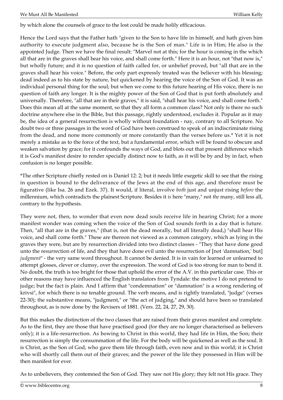by which alone the counsels of grace to the lost could be made holily efficacious.

Hence the Lord says that the Father hath "given to the Son to have life in himself, and hath given him authority to execute judgment also, because he is the Son of man." Life is in Him; He also is the appointed Judge. Then we have the final result: "Marvel not at this; for the hour is coming in the which all that are in the graves shall bear his voice, and shall come forth." Here it is an hour, not "that now is," but wholly future; and it is no question of faith called for, or unbelief proved, but "all that are in the graves shall hear his voice." Before, the only part expressly treated was the believer with his blessing; dead indeed as to his state by nature, but quickened by hearing the voice of the Son of God. It was an individual personal thing for the soul; but when we come to this future hearing of His voice, there is no question of faith any longer. It is the mighty power of the Son of God that is put forth absolutely and universally. Therefore, "all that are in their graves," it is said, "shall hear his voice, and shall come forth." Does this mean all at the same moment, so that they all form a common class? Not only is there no such doctrine anywhere else in the Bible, but this passage, rightly understood, excludes it. Popular as it may be, the idea of a general resurrection is wholly without foundation - nay, contrary to all Scripture. No doubt two or three passages in the word of God have been construed to speak of an indiscriminate rising from the dead, and none more commonly or more constantly than the verses before us.\* Yet it is not merely a mistake as to the force of the text, but a fundamental error, which will be found to obscure and weaken salvation by grace; for it confounds the ways of God, and blots out that present difference which it is God's manifest desire to render specially distinct now to faith, as it will be by and by in fact, when confusion is no longer possible.

\*The other Scripture chiefly rested on is Daniel 12: 2; but it needs little exegetic skill to see that the rising in question is bound to the deliverance of the Jews at the end of this age, and therefore must be figurative (like Isa. 26 and Ezek. 37). It would, if literal, involve *both* just and unjust rising *before* the millennium, which contradicts the plainest Scripture. Besides it *is* here "many," not *the* many, still less all, contrary to the hypothesis.

They were not, then, to wonder that even now dead souls receive life in hearing Christ; for a more manifest wonder was coming when the voice of the Son of God sounds forth in a day that is future. Then, "all that are in the graves," (that is, not the dead morally, but all literally dead,) "shall hear His voice, and shall come forth." These are thereon not viewed as a common category, which as lying in the graves they were, but are by resurrection divided into two distinct classes - "They that have done good unto the resurrection of life, and they that have done evil unto the resurrection of [not 'damnation,' but] *judgment*" - the very same word throughout. It cannot be denied. It is in vain for learned or unlearned to attempt glosses, clever or clumsy, over the expression. The word of God is too strong for man to bend it. No doubt, the truth is too bright for those that uphold the error of the A.V. in this particular case. This or other reasons may have influenced the English translators from Tyndale: the motive I do not pretend to judge; but the fact is plain. And I affirm that "condemnation" or "damnation" is a wrong rendering of krivsi", for which there is no tenable ground. The verb means, and is rightly translated, "judge" (verses 22-30); the substantive means, "judgment," or "the act of judging," and should have been so translated throughout, as is now done by the Revisers of 1881. (Vers. 22, 24, 27, 29, 30).

But this makes the distinction of the two classes that are raised from their graves manifest and complete. As to the first, they are those that have practised good (for they are no longer characterised as believers only); it is a life-resurrection. As bowing to Christ in this world, they had life in Him, the Son; their resurrection is simply the consummation of the life. For the body will be quickened as well as the soul. It is Christ, as the Son of God, who gave them life through faith, even now and in this world; it is Christ who will shortly call them out of their graves; and the power of the life they possessed in Him will be then manifest for ever.

As to unbelievers, they contemned the Son of God. They saw not His glory; they felt not His grace. They